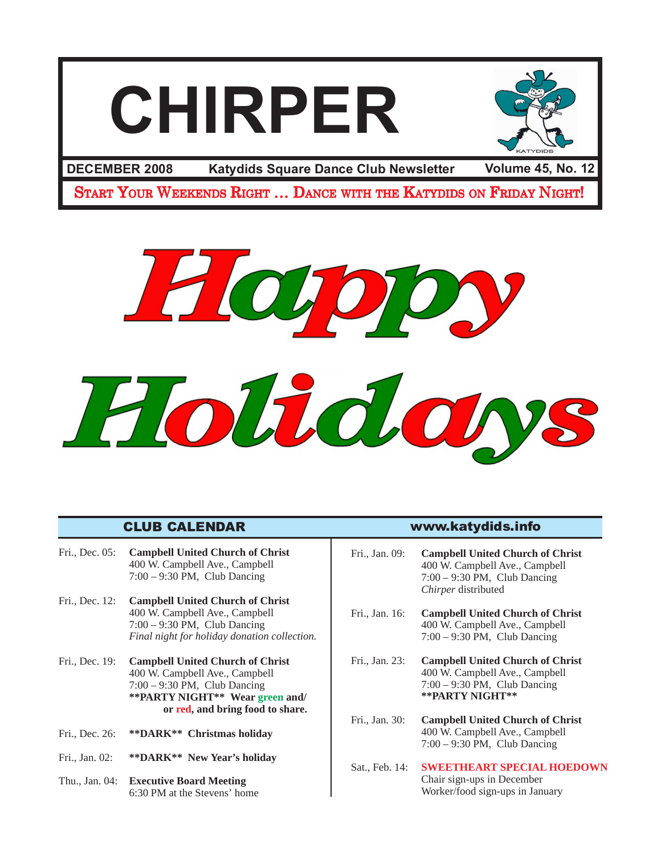# **CHIRPER**



**Katydids Square Dance Club Newsletter DECEMBER 2008 Volume 45, No. 12**

START YOUR WEEKENDS RIGHT ... DANCE WITH THE KATYDIDS ON FRIDAY NIGHT!



## CLUB CALENDAR www.katydids.info

- Fri., Dec. 05: **Campbell United Church of Christ** 400 W. Campbell Ave., Campbell 7:00 – 9:30 PM, Club Dancing
- Fri., Dec. 12: **Campbell United Church of Christ** 400 W. Campbell Ave., Campbell 7:00 – 9:30 PM, Club Dancing *Final night for holiday donation collection.*
- Fri., Dec. 19: **Campbell United Church of Christ** 400 W. Campbell Ave., Campbell 7:00 – 9:30 PM, Club Dancing **\*\*PARTY NIGHT\*\* Wear green and/ or red, and bring food to share.**
- Fri., Dec. 26: **\*\*DARK\*\* Christmas holiday**
- Fri., Jan. 02: **\*\*DARK\*\* New Year's holiday**
- Thu., Jan. 04: **Executive Board Meeting** 6:30 PM at the Stevens' home

| Fri., Jan. 09: | <b>Campbell United Church of Christ</b><br>400 W. Campbell Ave., Campbell<br>$7:00 - 9:30$ PM, Club Dancing<br>Chirper distributed |
|----------------|------------------------------------------------------------------------------------------------------------------------------------|
| Fri., Jan. 16: | <b>Campbell United Church of Christ</b><br>400 W. Campbell Ave., Campbell<br>$7:00 - 9:30$ PM, Club Dancing                        |
| Fri., Jan. 23: | <b>Campbell United Church of Christ</b><br>400 W. Campbell Ave., Campbell<br>$7:00 - 9:30$ PM, Club Dancing<br>**PARTY NIGHT**     |
| Fri., Jan. 30: | <b>Campbell United Church of Christ</b><br>400 W. Campbell Ave., Campbell<br>$7:00 - 9:30$ PM, Club Dancing                        |
| Sat., Feb. 14: | <b>SWEETHEART SPECIAL HOEDOWN</b><br>Chair sign-ups in December<br>Worker/food sign-ups in January                                 |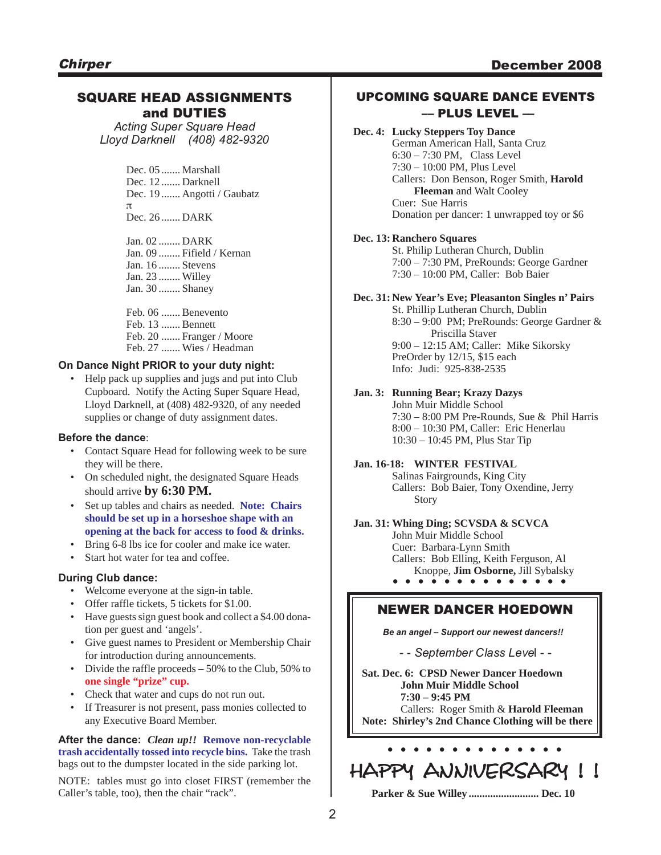#### SQUARE HEAD ASSIGNMENTS and DUTIES

*Acting Super Square Head Lloyd Darknell (408) 482-9320*

> Dec. 05 ....... Marshall Dec. 12 ....... Darknell Dec. 19 ....... Angotti / Gaubatz π Dec. 26 ....... DARK

Jan. 02 ........ DARK Jan. 09 ........ Fifield / Kernan Jan. 16 ........ Stevens Jan. 23 ........ Willey Jan. 30 ........ Shaney

Feb. 06 ....... Benevento Feb. 13 ....... Bennett Feb. 20 ....... Franger / Moore Feb. 27 ....... Wies / Headman

#### **On Dance Night PRIOR to your duty night:**

• Help pack up supplies and jugs and put into Club Cupboard. Notify the Acting Super Square Head, Lloyd Darknell, at (408) 482-9320, of any needed supplies or change of duty assignment dates.

#### **Before the dance**:

- Contact Square Head for following week to be sure they will be there.
- On scheduled night, the designated Square Heads should arrive **by 6:30 PM.**
- Set up tables and chairs as needed. **Note: Chairs should be set up in a horseshoe shape with an opening at the back for access to food & drinks.**
- Bring 6-8 lbs ice for cooler and make ice water.
- Start hot water for tea and coffee.

#### **During Club dance:**

- Welcome everyone at the sign-in table.
- Offer raffle tickets, 5 tickets for \$1.00.
- Have guests sign guest book and collect a \$4.00 donation per guest and 'angels'.
- Give guest names to President or Membership Chair for introduction during announcements.
- Divide the raffle proceeds 50% to the Club, 50% to **one single "prize" cup.**
- Check that water and cups do not run out.
- If Treasurer is not present, pass monies collected to any Executive Board Member.

#### **After the dance:** *Clean up!!* **Remove non-recyclable trash accidentally tossed into recycle bins.** Take the trash bags out to the dumpster located in the side parking lot.

NOTE: tables must go into closet FIRST (remember the Caller's table, too), then the chair "rack".

#### UPCOMING SQUARE DANCE EVENTS –– PLUS LEVEL ––

**Dec. 4: Lucky Steppers Toy Dance** German American Hall, Santa Cruz 6:30 – 7:30 PM, Class Level 7:30 – 10:00 PM, Plus Level Callers: Don Benson, Roger Smith, **Harold Fleeman** and Walt Cooley Cuer: Sue Harris Donation per dancer: 1 unwrapped toy or \$6

#### **Dec. 13: Ranchero Squares**

St. Philip Lutheran Church, Dublin 7:00 – 7:30 PM, PreRounds: George Gardner 7:30 – 10:00 PM, Caller: Bob Baier

#### **Dec. 31: New Year's Eve; Pleasanton Singles n' Pairs**

St. Phillip Lutheran Church, Dublin 8:30 – 9:00 PM; PreRounds: George Gardner & Priscilla Staver 9:00 – 12:15 AM; Caller: Mike Sikorsky PreOrder by 12/15, \$15 each Info: Judi: 925-838-2535

#### **Jan. 3: Running Bear; Krazy Dazys**

John Muir Middle School 7:30 – 8:00 PM Pre-Rounds, Sue & Phil Harris 8:00 – 10:30 PM, Caller: Eric Henerlau 10:30 – 10:45 PM, Plus Star Tip

#### **Jan. 16-18: WINTER FESTIVAL**

Salinas Fairgrounds, King City Callers: Bob Baier, Tony Oxendine, Jerry Story

**. . . . . . . . . . . . . .** Knoppe, **Jim Osborne,** Jill Sybalsky **Jan. 31: Whing Ding; SCVSDA & SCVCA** John Muir Middle School Cuer: Barbara-Lynn Smith Callers: Bob Elling, Keith Ferguson, Al

#### NEWER DANCER HOEDOWN

*Be an angel – Support our newest dancers!!*

- - *September Class Leve*l - -

**Sat. Dec. 6: CPSD Newer Dancer Hoedown John Muir Middle School 7:30 – 9:45 PM** Callers: Roger Smith & **Harold Fleeman Note: Shirley's 2nd Chance Clothing will be there**

# **. . . . . . . . . . . . . .** HAPPY ANNIVERSARY !!

**Parker & Sue Willey .......................... Dec. 10**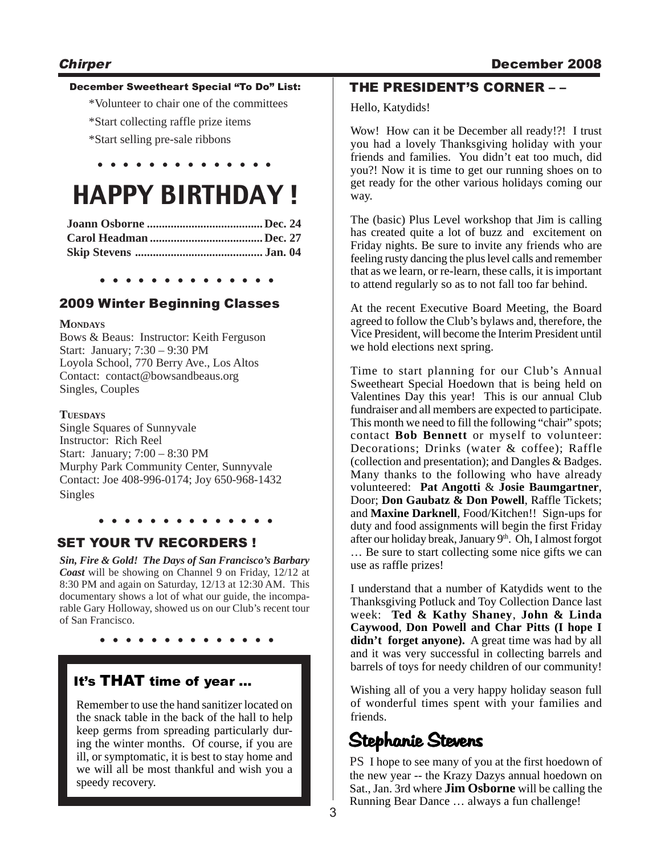#### December Sweetheart Special "To Do" List:

- \*Volunteer to chair one of the committees
- \*Start collecting raffle prize items
- \*Start selling pre-sale ribbons

# HAPPY BIRTHDAY !

**. . . . . . . . . . . . . .**

**. . . . . . . . . . . . . .**

#### 2009 Winter Beginning Classes

#### **MONDAYS**

Bows & Beaus: Instructor: Keith Ferguson Start: January; 7:30 – 9:30 PM Loyola School, 770 Berry Ave., Los Altos Contact: contact@bowsandbeaus.org Singles, Couples

#### **TUESDAYS**

Single Squares of Sunnyvale Instructor: Rich Reel Start: January; 7:00 – 8:30 PM Murphy Park Community Center, Sunnyvale Contact: Joe 408-996-0174; Joy 650-968-1432 Singles

#### **. . . . . . . . . . . . . .**

## SET YOUR TV RECORDERS !

*Sin, Fire & Gold! The Days of San Francisco's Barbary Coast* will be showing on Channel 9 on Friday, 12/12 at 8:30 PM and again on Saturday, 12/13 at 12:30 AM. This documentary shows a lot of what our guide, the incomparable Gary Holloway, showed us on our Club's recent tour of San Francisco.

**. . . . . . . . . . . . . .**

## It's THAT time of year …

Remember to use the hand sanitizer located on the snack table in the back of the hall to help keep germs from spreading particularly during the winter months. Of course, if you are ill, or symptomatic, it is best to stay home and we will all be most thankful and wish you a speedy recovery.

## THE PRESIDENT'S CORNER – –

Hello, Katydids!

Wow! How can it be December all ready!?! I trust you had a lovely Thanksgiving holiday with your friends and families. You didn't eat too much, did you?! Now it is time to get our running shoes on to get ready for the other various holidays coming our way.

The (basic) Plus Level workshop that Jim is calling has created quite a lot of buzz and excitement on Friday nights. Be sure to invite any friends who are feeling rusty dancing the plus level calls and remember that as we learn, or re-learn, these calls, it is important to attend regularly so as to not fall too far behind.

At the recent Executive Board Meeting, the Board agreed to follow the Club's bylaws and, therefore, the Vice President, will become the Interim President until we hold elections next spring.

Time to start planning for our Club's Annual Sweetheart Special Hoedown that is being held on Valentines Day this year! This is our annual Club fundraiser and all members are expected to participate. This month we need to fill the following "chair" spots; contact **Bob Bennett** or myself to volunteer: Decorations; Drinks (water & coffee); Raffle (collection and presentation); and Dangles & Badges. Many thanks to the following who have already volunteered: **Pat Angotti** & **Josie Baumgartner**, Door; **Don Gaubatz & Don Powell**, Raffle Tickets; and **Maxine Darknell**, Food/Kitchen!! Sign-ups for duty and food assignments will begin the first Friday after our holiday break, January 9<sup>th</sup>. Oh, I almost forgot … Be sure to start collecting some nice gifts we can use as raffle prizes!

I understand that a number of Katydids went to the Thanksgiving Potluck and Toy Collection Dance last week: **Ted & Kathy Shaney**, **John & Linda Caywood**, **Don Powell and Char Pitts (I hope I didn't forget anyone).** A great time was had by all and it was very successful in collecting barrels and barrels of toys for needy children of our community!

Wishing all of you a very happy holiday season full of wonderful times spent with your families and friends.

# Stephanie Stevens

PS I hope to see many of you at the first hoedown of the new year -- the Krazy Dazys annual hoedown on Sat., Jan. 3rd where **Jim Osborne** will be calling the Running Bear Dance … always a fun challenge!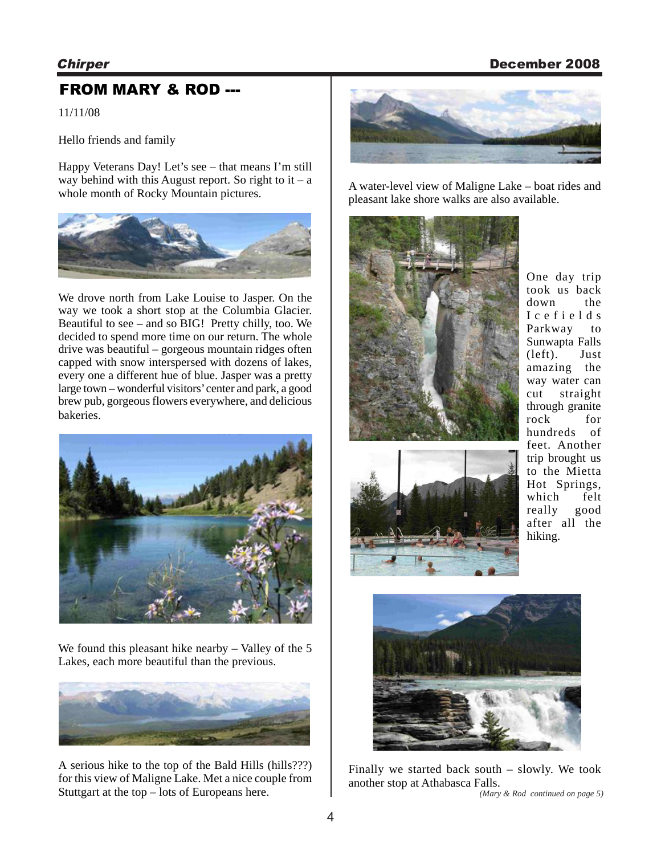#### Chirper December 2008

## FROM MARY & ROD ---

11/11/08

Hello friends and family

Happy Veterans Day! Let's see – that means I'm still way behind with this August report. So right to it – a whole month of Rocky Mountain pictures.



We drove north from Lake Louise to Jasper. On the way we took a short stop at the Columbia Glacier. Beautiful to see – and so BIG! Pretty chilly, too. We decided to spend more time on our return. The whole drive was beautiful – gorgeous mountain ridges often capped with snow interspersed with dozens of lakes, every one a different hue of blue. Jasper was a pretty large town – wonderful visitors' center and park, a good brew pub, gorgeous flowers everywhere, and delicious bakeries.



We found this pleasant hike nearby – Valley of the 5 Lakes, each more beautiful than the previous.



A serious hike to the top of the Bald Hills (hills???) for this view of Maligne Lake. Met a nice couple from Stuttgart at the top – lots of Europeans here.



A water-level view of Maligne Lake – boat rides and pleasant lake shore walks are also available.



One day trip took us back down the Icefields Parkway to Sunwapta Falls (left). Just amazing the way water can cut straight through granite rock for hundreds of feet. Another trip brought us to the Mietta Hot Springs, which felt really good after all the hiking.





Finally we started back south – slowly. We took another stop at Athabasca Falls. *(Mary & Rod continued on page 5)*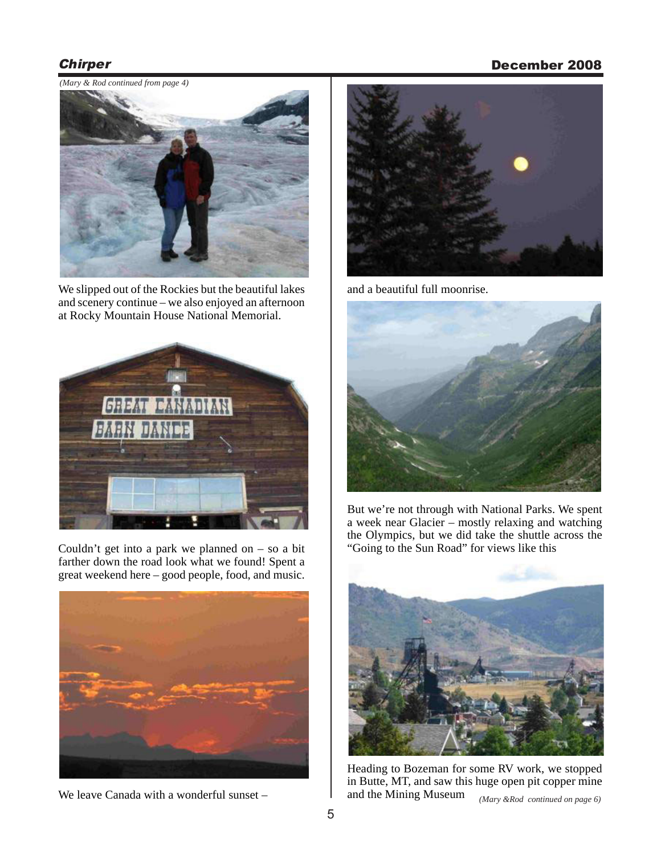#### Chirper December 2008

*(Mary & Rod continued from page 4)*



We slipped out of the Rockies but the beautiful lakes and scenery continue – we also enjoyed an afternoon at Rocky Mountain House National Memorial.



Couldn't get into a park we planned on  $-$  so a bit farther down the road look what we found! Spent a great weekend here – good people, food, and music.



We leave Canada with a wonderful sunset –



and a beautiful full moonrise.



But we're not through with National Parks. We spent a week near Glacier – mostly relaxing and watching the Olympics, but we did take the shuttle across the "Going to the Sun Road" for views like this



Heading to Bozeman for some RV work, we stopped in Butte, MT, and saw this huge open pit copper mine and the Mining Museum *(Mary &Rod continued on page 6)*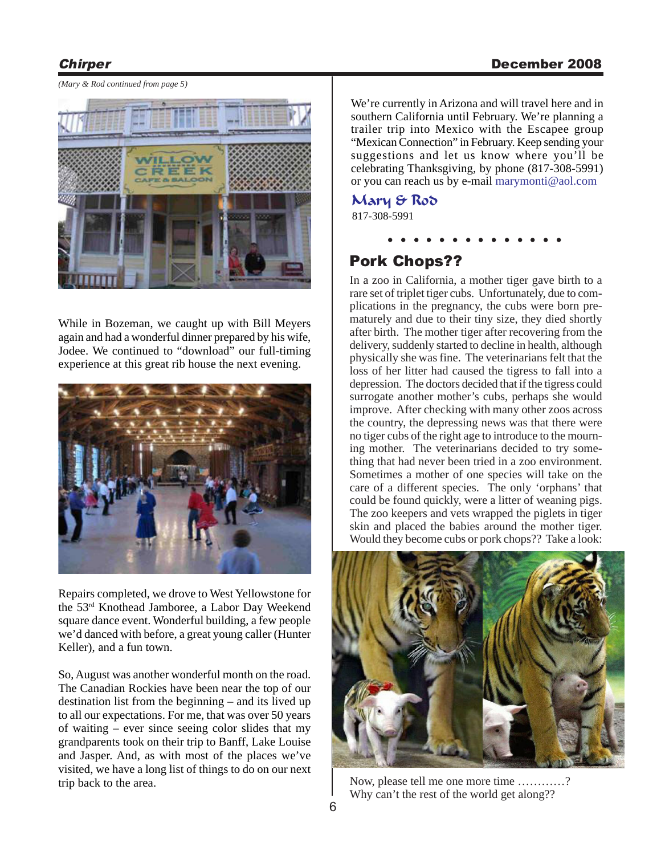#### Chirper December 2008

*(Mary & Rod continued from page 5)*



While in Bozeman, we caught up with Bill Meyers again and had a wonderful dinner prepared by his wife, Jodee. We continued to "download" our full-timing experience at this great rib house the next evening.



Repairs completed, we drove to West Yellowstone for the 53rd Knothead Jamboree, a Labor Day Weekend square dance event. Wonderful building, a few people we'd danced with before, a great young caller (Hunter Keller), and a fun town.

So, August was another wonderful month on the road. The Canadian Rockies have been near the top of our destination list from the beginning – and its lived up to all our expectations. For me, that was over 50 years of waiting – ever since seeing color slides that my grandparents took on their trip to Banff, Lake Louise and Jasper. And, as with most of the places we've visited, we have a long list of things to do on our next trip back to the area.

We're currently in Arizona and will travel here and in southern California until February. We're planning a trailer trip into Mexico with the Escapee group "Mexican Connection" in February. Keep sending your suggestions and let us know where you'll be celebrating Thanksgiving, by phone (817-308-5991) or you can reach us by e-mail marymonti@aol.com

#### 817-308-5991 Mary & Rod

**. . . . . . . . . . . . . .**

## Pork Chops??

In a zoo in California, a mother tiger gave birth to a rare set of triplet tiger cubs. Unfortunately, due to complications in the pregnancy, the cubs were born prematurely and due to their tiny size, they died shortly after birth. The mother tiger after recovering from the delivery, suddenly started to decline in health, although physically she was fine. The veterinarians felt that the loss of her litter had caused the tigress to fall into a depression. The doctors decided that if the tigress could surrogate another mother's cubs, perhaps she would improve. After checking with many other zoos across the country, the depressing news was that there were no tiger cubs of the right age to introduce to the mourning mother. The veterinarians decided to try something that had never been tried in a zoo environment. Sometimes a mother of one species will take on the care of a different species. The only 'orphans' that could be found quickly, were a litter of weaning pigs. The zoo keepers and vets wrapped the piglets in tiger skin and placed the babies around the mother tiger. Would they become cubs or pork chops?? Take a look:



Now, please tell me one more time …………? Why can't the rest of the world get along??